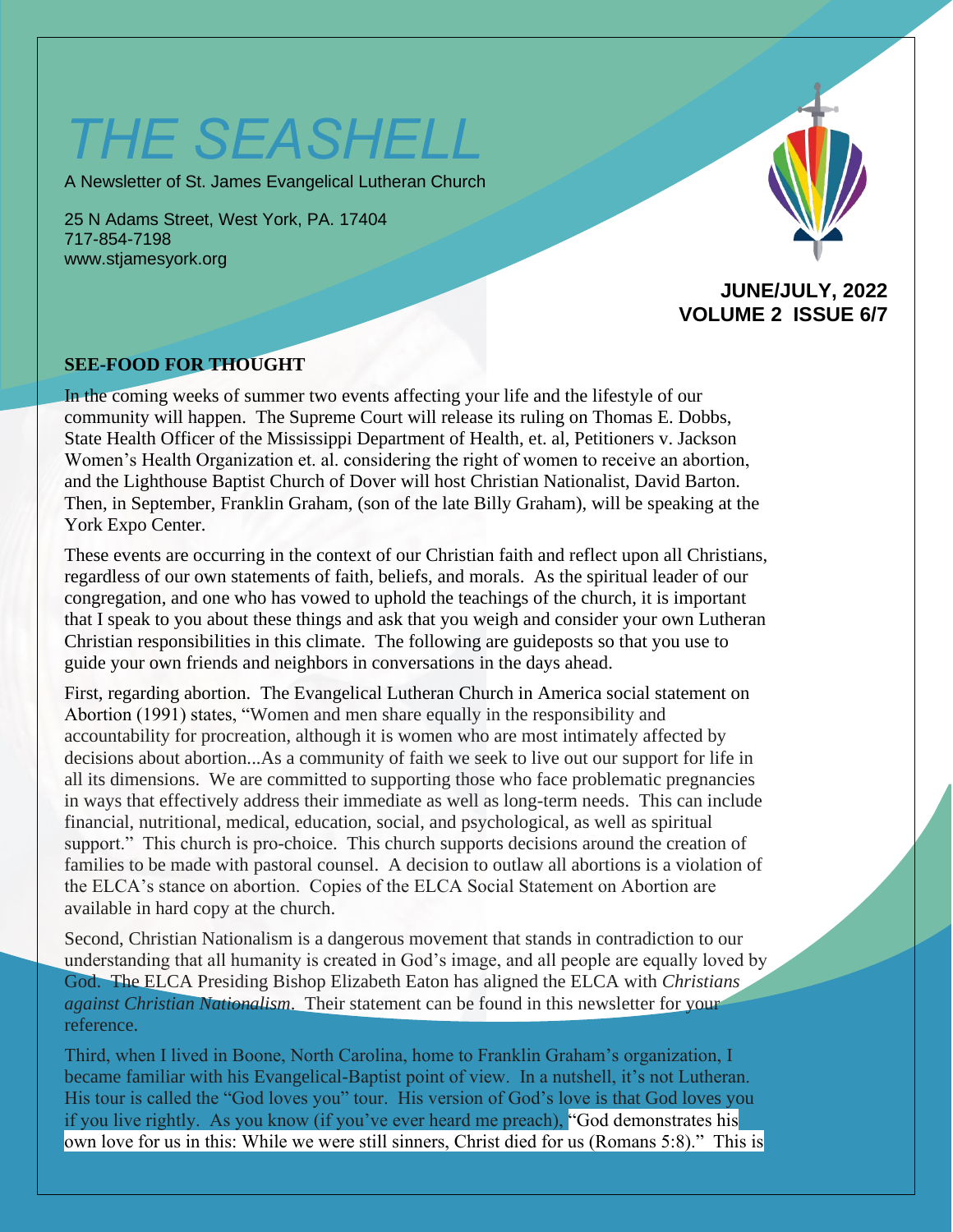# *THE SEASHELL*

A Newsletter of St. James Evangelical Lutheran Church

25 N Adams Street, West York, PA. 17404 717-854-7198 www.stjamesyork.org



#### **JUNE/JULY, 2022 VOLUME 2 ISSUE 6/7**

#### **SEE-FOOD FOR THOUGHT**

In the coming weeks of summer two events affecting your life and the lifestyle of our community will happen. The Supreme Court will release its ruling on Thomas E. Dobbs, State Health Officer of the Mississippi Department of Health, et. al, Petitioners v. Jackson Women's Health Organization et. al. considering the right of women to receive an abortion, and the Lighthouse Baptist Church of Dover will host Christian Nationalist, David Barton. Then, in September, Franklin Graham, (son of the late Billy Graham), will be speaking at the York Expo Center.

These events are occurring in the context of our Christian faith and reflect upon all Christians, regardless of our own statements of faith, beliefs, and morals. As the spiritual leader of our congregation, and one who has vowed to uphold the teachings of the church, it is important that I speak to you about these things and ask that you weigh and consider your own Lutheran Christian responsibilities in this climate. The following are guideposts so that you use to guide your own friends and neighbors in conversations in the days ahead.

First, regarding abortion. The Evangelical Lutheran Church in America social statement on Abortion (1991) states, "Women and men share equally in the responsibility and accountability for procreation, although it is women who are most intimately affected by decisions about abortion...As a community of faith we seek to live out our support for life in all its dimensions. We are committed to supporting those who face problematic pregnancies in ways that effectively address their immediate as well as long-term needs. This can include financial, nutritional, medical, education, social, and psychological, as well as spiritual support." This church is pro-choice. This church supports decisions around the creation of families to be made with pastoral counsel. A decision to outlaw all abortions is a violation of the ELCA's stance on abortion. Copies of the ELCA Social Statement on Abortion are available in hard copy at the church.

Second, Christian Nationalism is a dangerous movement that stands in contradiction to our understanding that all humanity is created in God's image, and all people are equally loved by God. The ELCA Presiding Bishop Elizabeth Eaton has aligned the ELCA with *Christians against Christian Nationalism*. Their statement can be found in this newsletter for your reference.

Third, when I lived in Boone, North Carolina, home to Franklin Graham's organization, I became familiar with his Evangelical-Baptist point of view. In a nutshell, it's not Lutheran. His tour is called the "God loves you" tour. His version of God's love is that God loves you if you live rightly. As you know (if you've ever heard me preach), "God demonstrates his own love for us in this: While we were still sinners, Christ died for us (Romans 5:8)." This is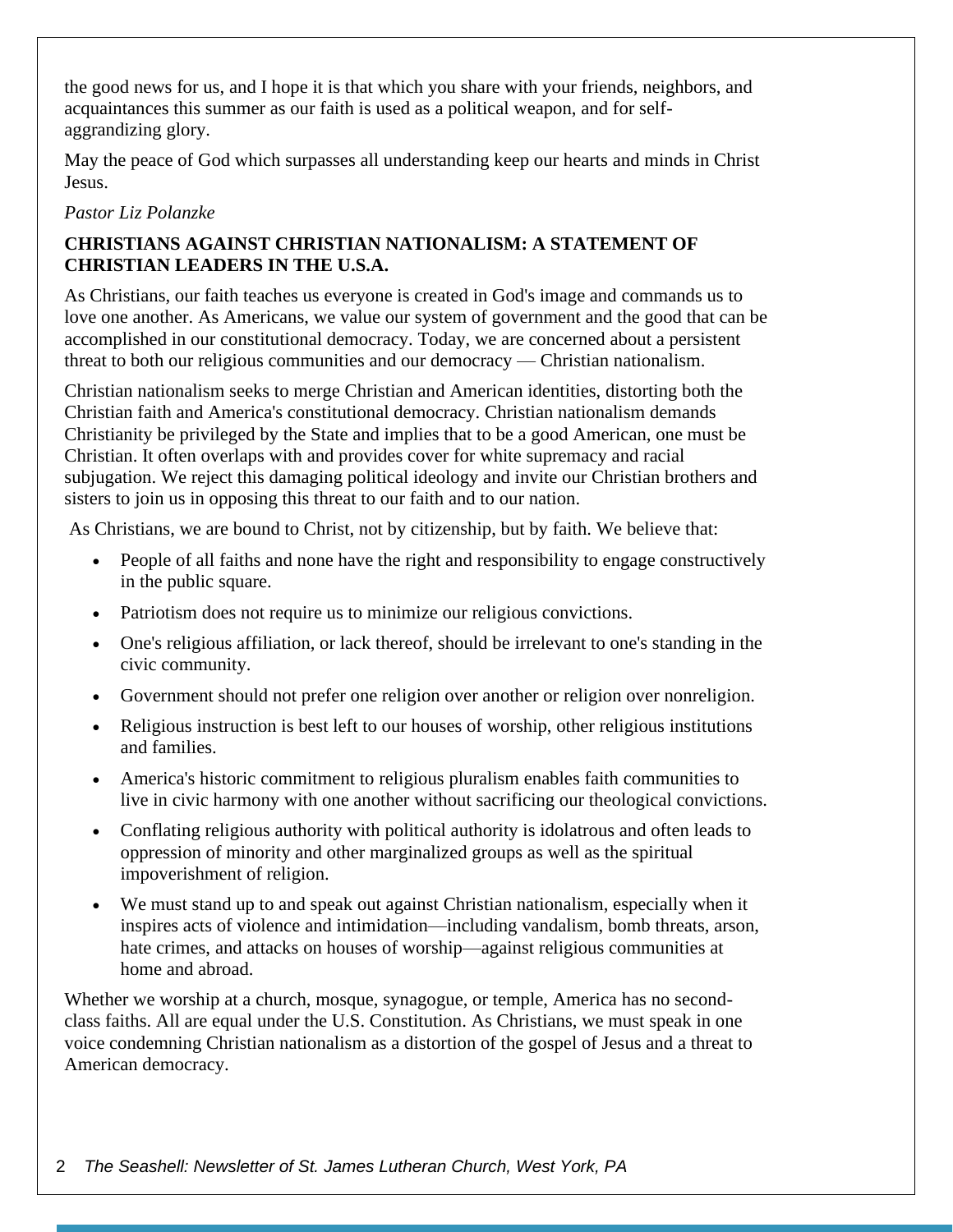the good news for us, and I hope it is that which you share with your friends, neighbors, and acquaintances this summer as our faith is used as a political weapon, and for selfaggrandizing glory.

May the peace of God which surpasses all understanding keep our hearts and minds in Christ Jesus.

#### *Pastor Liz Polanzke*

#### **CHRISTIANS AGAINST CHRISTIAN NATIONALISM: A STATEMENT OF CHRISTIAN LEADERS IN THE U.S.A.**

As Christians, our faith teaches us everyone is created in God's image and commands us to love one another. As Americans, we value our system of government and the good that can be accomplished in our constitutional democracy. Today, we are concerned about a persistent threat to both our religious communities and our democracy — Christian nationalism.

Christian nationalism seeks to merge Christian and American identities, distorting both the Christian faith and America's constitutional democracy. Christian nationalism demands Christianity be privileged by the State and implies that to be a good American, one must be Christian. It often overlaps with and provides cover for white supremacy and racial subjugation. We reject this damaging political ideology and invite our Christian brothers and sisters to join us in opposing this threat to our faith and to our nation.

As Christians, we are bound to Christ, not by citizenship, but by faith. We believe that:

- People of all faiths and none have the right and responsibility to engage constructively in the public square.
- Patriotism does not require us to minimize our religious convictions.
- One's religious affiliation, or lack thereof, should be irrelevant to one's standing in the civic community.
- Government should not prefer one religion over another or religion over nonreligion.
- Religious instruction is best left to our houses of worship, other religious institutions and families.
- America's historic commitment to religious pluralism enables faith communities to live in civic harmony with one another without sacrificing our theological convictions.
- Conflating religious authority with political authority is idolatrous and often leads to oppression of minority and other marginalized groups as well as the spiritual impoverishment of religion.
- We must stand up to and speak out against Christian nationalism, especially when it inspires acts of violence and intimidation—including vandalism, bomb threats, arson, hate crimes, and attacks on houses of worship—against religious communities at home and abroad.

Whether we worship at a church, mosque, synagogue, or temple, America has no secondclass faiths. All are equal under the U.S. Constitution. As Christians, we must speak in one voice condemning Christian nationalism as a distortion of the gospel of Jesus and a threat to American democracy.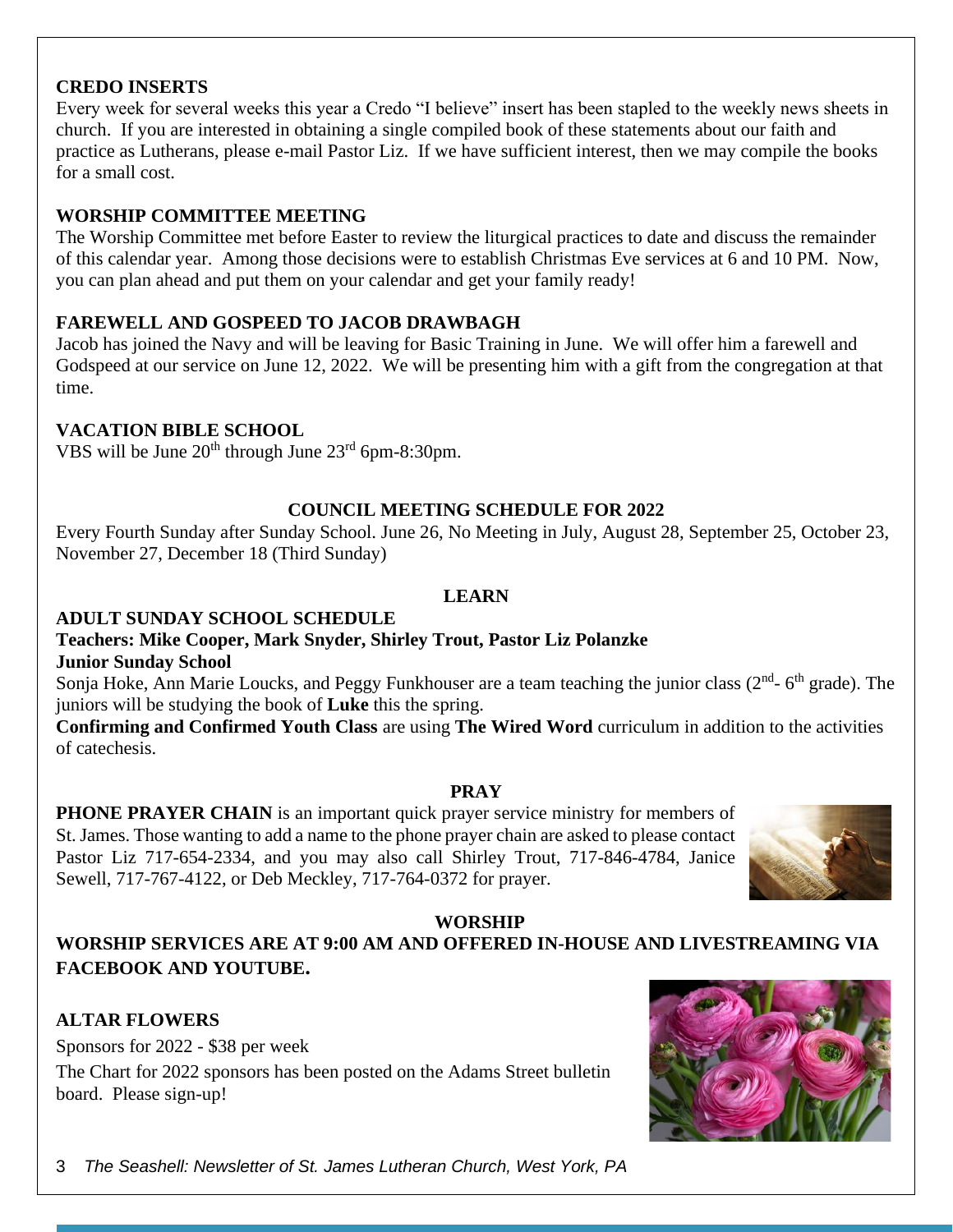#### **CREDO INSERTS**

Every week for several weeks this year a Credo "I believe" insert has been stapled to the weekly news sheets in church. If you are interested in obtaining a single compiled book of these statements about our faith and practice as Lutherans, please e-mail Pastor Liz. If we have sufficient interest, then we may compile the books for a small cost.

#### **WORSHIP COMMITTEE MEETING**

The Worship Committee met before Easter to review the liturgical practices to date and discuss the remainder of this calendar year. Among those decisions were to establish Christmas Eve services at 6 and 10 PM. Now, you can plan ahead and put them on your calendar and get your family ready!

#### **FAREWELL AND GOSPEED TO JACOB DRAWBAGH**

Jacob has joined the Navy and will be leaving for Basic Training in June. We will offer him a farewell and Godspeed at our service on June 12, 2022. We will be presenting him with a gift from the congregation at that time.

#### **VACATION BIBLE SCHOOL**

VBS will be June  $20^{th}$  through June  $23^{rd}$  6pm-8:30pm.

#### **COUNCIL MEETING SCHEDULE FOR 2022**

Every Fourth Sunday after Sunday School. June 26, No Meeting in July, August 28, September 25, October 23, November 27, December 18 (Third Sunday)

#### **LEARN**

#### **ADULT SUNDAY SCHOOL SCHEDULE**

#### **Teachers: Mike Cooper, Mark Snyder, Shirley Trout, Pastor Liz Polanzke Junior Sunday School**

Sonja Hoke, Ann Marie Loucks, and Peggy Funkhouser are a team teaching the junior class  $(2^{nd}$ - 6<sup>th</sup> grade). The juniors will be studying the book of **Luke** this the spring.

**Confirming and Confirmed Youth Class** are using **The Wired Word** curriculum in addition to the activities of catechesis.

#### **PRAY**

**PHONE PRAYER CHAIN** is an important quick prayer service ministry for members of St. James. Those wanting to add a name to the phone prayer chain are asked to please contact Pastor Liz 717-654-2334, and you may also call Shirley Trout, 717-846-4784, Janice Sewell, 717-767-4122, or Deb Meckley, 717-764-0372 for prayer.



#### **WORSHIP**

#### **WORSHIP SERVICES ARE AT 9:00 AM AND OFFERED IN-HOUSE AND LIVESTREAMING VIA FACEBOOK AND YOUTUBE.**

#### **ALTAR FLOWERS**

Sponsors for 2022 - \$38 per week The Chart for 2022 sponsors has been posted on the Adams Street bulletin board. Please sign-up!

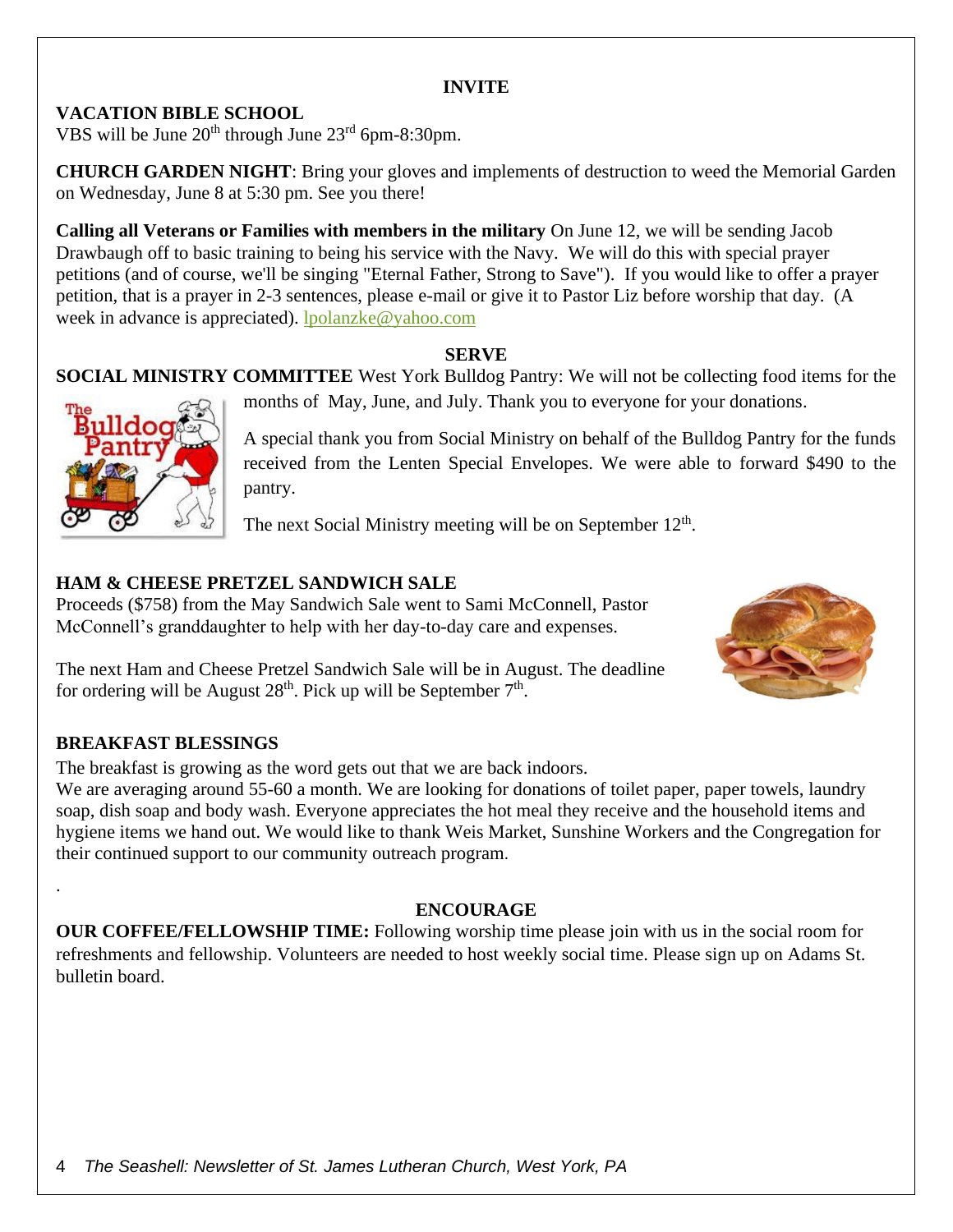#### **INVITE**

#### **VACATION BIBLE SCHOOL**

VBS will be June  $20^{th}$  through June  $23^{rd}$  6pm-8:30pm.

**CHURCH GARDEN NIGHT**: Bring your gloves and implements of destruction to weed the Memorial Garden on Wednesday, June 8 at 5:30 pm. See you there!

**Calling all Veterans or Families with members in the military** On June 12, we will be sending Jacob Drawbaugh off to basic training to being his service with the Navy. We will do this with special prayer petitions (and of course, we'll be singing "Eternal Father, Strong to Save"). If you would like to offer a prayer petition, that is a prayer in 2-3 sentences, please e-mail or give it to Pastor Liz before worship that day. (A week in advance is appreciated). [lpolanzke@yahoo.com](mailto:lpolanzke@yahoo.com)

#### **SERVE**

#### **SOCIAL MINISTRY COMMITTEE** West York Bulldog Pantry: We will not be collecting food items for the



months of May, June, and July. Thank you to everyone for your donations.

A special thank you from Social Ministry on behalf of the Bulldog Pantry for the funds received from the Lenten Special Envelopes. We were able to forward \$490 to the pantry.

The next Social Ministry meeting will be on September  $12<sup>th</sup>$ .

#### **HAM & CHEESE PRETZEL SANDWICH SALE**

Proceeds (\$758) from the May Sandwich Sale went to Sami McConnell, Pastor McConnell's granddaughter to help with her day-to-day care and expenses.



The next Ham and Cheese Pretzel Sandwich Sale will be in August. The deadline for ordering will be August  $28<sup>th</sup>$ . Pick up will be September  $7<sup>th</sup>$ .

#### **BREAKFAST BLESSINGS**

.

The breakfast is growing as the word gets out that we are back indoors.

We are averaging around 55-60 a month. We are looking for donations of toilet paper, paper towels, laundry soap, dish soap and body wash. Everyone appreciates the hot meal they receive and the household items and hygiene items we hand out. We would like to thank Weis Market, Sunshine Workers and the Congregation for their continued support to our community outreach program.

#### **ENCOURAGE**

**OUR COFFEE/FELLOWSHIP TIME:** Following worship time please join with us in the social room for refreshments and fellowship. Volunteers are needed to host weekly social time. Please sign up on Adams St. bulletin board.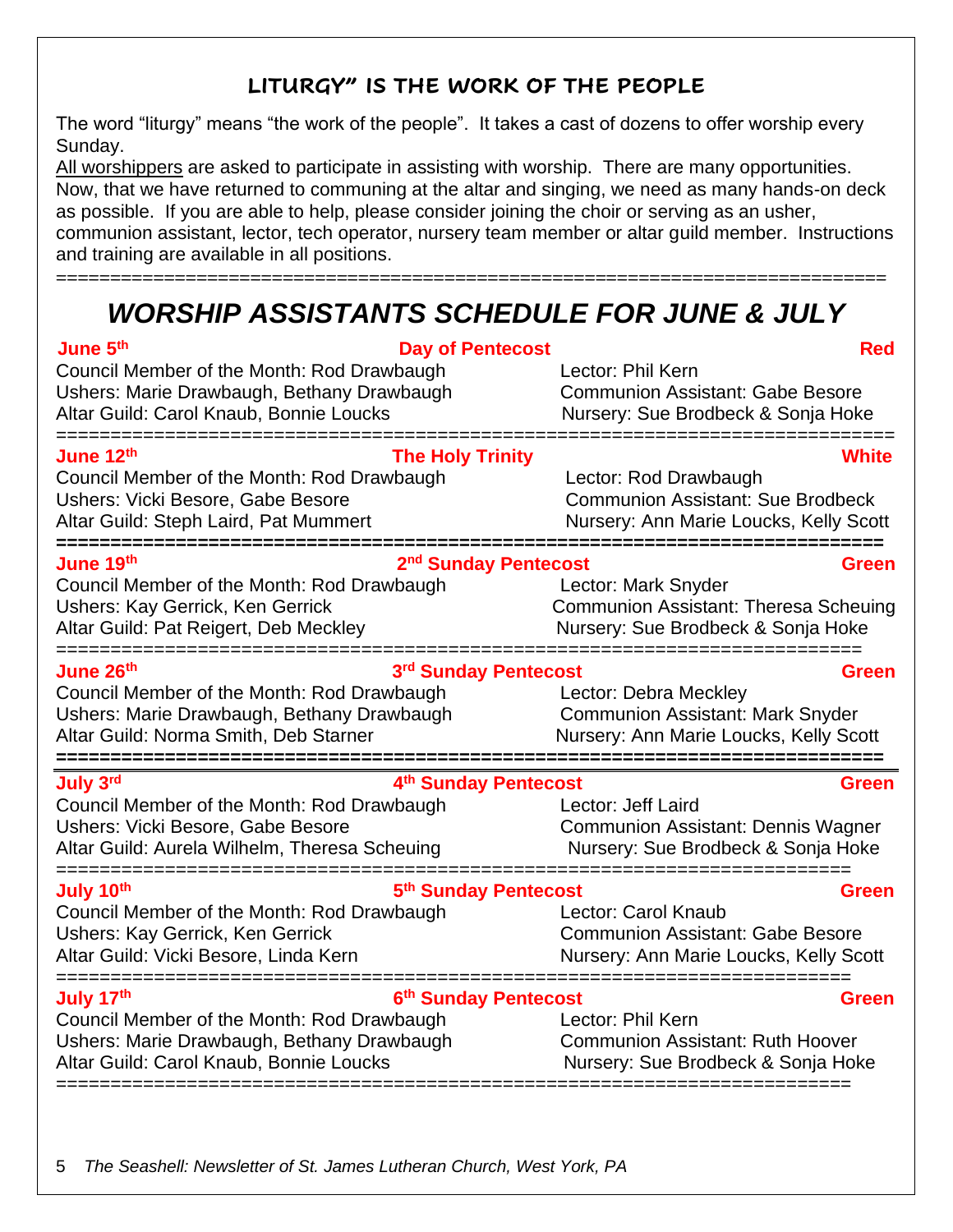### **LITURGY" IS THE WORK OF THE PEOPLE**

The word "liturgy" means "the work of the people". It takes a cast of dozens to offer worship every Sunday.

All worshippers are asked to participate in assisting with worship. There are many opportunities. Now, that we have returned to communing at the altar and singing, we need as many hands-on deck as possible. If you are able to help, please consider joining the choir or serving as an usher, communion assistant, lector, tech operator, nursery team member or altar guild member. Instructions and training are available in all positions.

=============================================================================

## *WORSHIP ASSISTANTS SCHEDULE FOR JUNE & JULY*

| June 5th<br><b>Day of Pentecost</b><br>Council Member of the Month: Rod Drawbaugh<br>Ushers: Marie Drawbaugh, Bethany Drawbaugh<br>Altar Guild: Carol Knaub, Bonnie Loucks                                  | <b>Red</b><br>Lector: Phil Kern<br><b>Communion Assistant: Gabe Besore</b><br>Nursery: Sue Brodbeck & Sonja Hoke                                      |
|-------------------------------------------------------------------------------------------------------------------------------------------------------------------------------------------------------------|-------------------------------------------------------------------------------------------------------------------------------------------------------|
| June 12 <sup>th</sup><br><b>The Holy Trinity</b><br>Council Member of the Month: Rod Drawbaugh<br>Ushers: Vicki Besore, Gabe Besore<br>Altar Guild: Steph Laird, Pat Mummert<br>=========================== | White<br>Lector: Rod Drawbaugh<br><b>Communion Assistant: Sue Brodbeck</b><br>Nursery: Ann Marie Loucks, Kelly Scott<br>============================= |
| June 19th<br>2 <sup>nd</sup> Sunday Pentecost<br>Council Member of the Month: Rod Drawbaugh<br>Ushers: Kay Gerrick, Ken Gerrick<br>Altar Guild: Pat Reigert, Deb Meckley                                    | Green<br>Lector: Mark Snyder<br><b>Communion Assistant: Theresa Scheuing</b><br>Nursery: Sue Brodbeck & Sonja Hoke                                    |
| June 26 <sup>th</sup><br>3rd Sunday Pentecost<br>Council Member of the Month: Rod Drawbaugh<br>Ushers: Marie Drawbaugh, Bethany Drawbaugh<br>Altar Guild: Norma Smith, Deb Starner                          | <b>Green</b><br>Lector: Debra Meckley<br><b>Communion Assistant: Mark Snyder</b><br>Nursery: Ann Marie Loucks, Kelly Scott                            |
| July 3rd<br>4th Sunday Pentecost<br>Council Member of the Month: Rod Drawbaugh<br>Ushers: Vicki Besore, Gabe Besore<br>Altar Guild: Aurela Wilhelm, Theresa Scheuing                                        | Green<br>Lector: Jeff Laird<br><b>Communion Assistant: Dennis Wagner</b><br>Nursery: Sue Brodbeck & Sonja Hoke<br>======================              |
| ===================================<br>5th Sunday Pentecost<br>July 10th<br>Council Member of the Month: Rod Drawbaugh<br>Ushers: Kay Gerrick, Ken Gerrick<br>Altar Guild: Vicki Besore, Linda Kern         | <b>Green</b><br>Lector: Carol Knaub<br><b>Communion Assistant: Gabe Besore</b><br>Nursery: Ann Marie Loucks, Kelly Scott                              |
| July 17th<br>6th Sunday Pentecost<br>Council Member of the Month: Rod Drawbaugh<br>Ushers: Marie Drawbaugh, Bethany Drawbaugh<br>Altar Guild: Carol Knaub, Bonnie Loucks                                    | <b>Green</b><br>Lector: Phil Kern<br><b>Communion Assistant: Ruth Hoover</b><br>Nursery: Sue Brodbeck & Sonja Hoke                                    |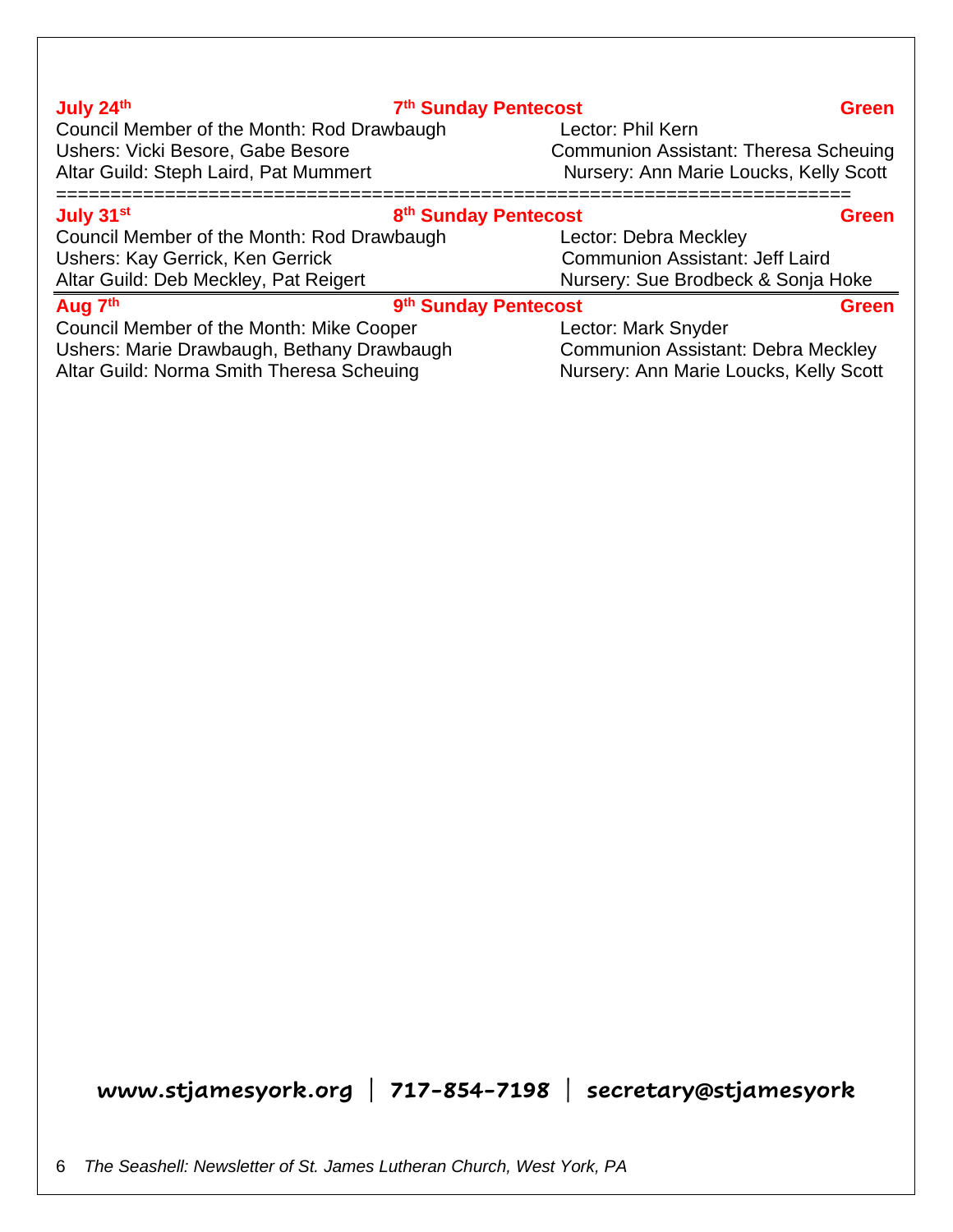| July 24th                                  | 7th Sunday Pentecost             | <b>Green</b>                                 |
|--------------------------------------------|----------------------------------|----------------------------------------------|
| Council Member of the Month: Rod Drawbaugh |                                  | Lector: Phil Kern                            |
| Ushers: Vicki Besore, Gabe Besore          |                                  | <b>Communion Assistant: Theresa Scheuing</b> |
| Altar Guild: Steph Laird, Pat Mummert      |                                  | Nursery: Ann Marie Loucks, Kelly Scott       |
| July 31 <sup>st</sup>                      | 8 <sup>th</sup> Sunday Pentecost | <b>Green</b>                                 |
| Council Member of the Month: Rod Drawbaugh |                                  | Lector: Debra Meckley                        |
| Ushers: Kay Gerrick, Ken Gerrick           |                                  | <b>Communion Assistant: Jeff Laird</b>       |
| Altar Guild: Deb Meckley, Pat Reigert      |                                  | Nursery: Sue Brodbeck & Sonja Hoke           |
| Aug 7th                                    | 9th Sunday Pentecost             | <b>Green</b>                                 |
| Council Member of the Month: Mike Cooper   |                                  | Lector: Mark Snyder                          |
| Ushers: Marie Drawbaugh, Bethany Drawbaugh |                                  | <b>Communion Assistant: Debra Meckley</b>    |
| Altar Guild: Norma Smith Theresa Scheuing  |                                  | Nursery: Ann Marie Loucks, Kelly Scott       |

**July 24th**

6 *The Seashell: Newsletter of St. James Lutheran Church, West York, PA*

**www.stjamesyork.org | 717-854-7198 | secretary@stjamesyork**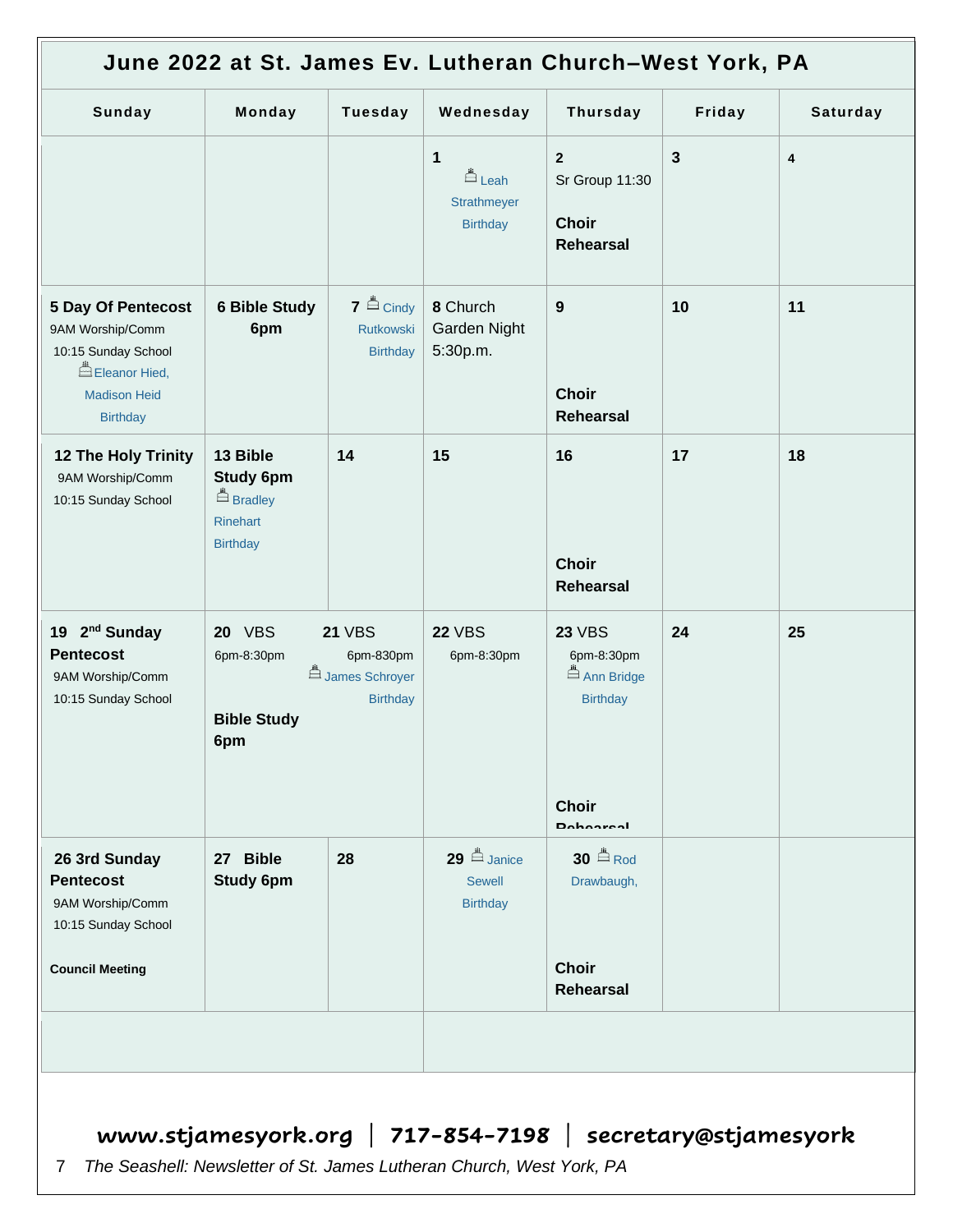| June 2022 at St. James Ev. Lutheran Church-West York, PA                                                                        |                                                                                 |                                                                 |                                                                           |                                                                              |              |                         |
|---------------------------------------------------------------------------------------------------------------------------------|---------------------------------------------------------------------------------|-----------------------------------------------------------------|---------------------------------------------------------------------------|------------------------------------------------------------------------------|--------------|-------------------------|
| Sunday                                                                                                                          | Monday                                                                          | <b>Tuesday</b>                                                  | Wednesday                                                                 | <b>Thursday</b>                                                              | Friday       | Saturday                |
|                                                                                                                                 |                                                                                 |                                                                 | $\mathbf{1}$<br><u><sup>≞</sup>Leah</u><br>Strathmeyer<br><b>Birthday</b> | $\overline{2}$<br>Sr Group 11:30<br><b>Choir</b><br><b>Rehearsal</b>         | $\mathbf{3}$ | $\overline{\mathbf{4}}$ |
| <b>5 Day Of Pentecost</b><br>9AM Worship/Comm<br>10:15 Sunday School<br>Eleanor Hied,<br><b>Madison Heid</b><br><b>Birthday</b> | <b>6 Bible Study</b><br>6pm                                                     | $7 \triangleq$ Cindy<br>Rutkowski<br><b>Birthday</b>            | 8 Church<br>Garden Night<br>5:30p.m.                                      | 9<br><b>Choir</b><br><b>Rehearsal</b>                                        | 10           | 11                      |
| <b>12 The Holy Trinity</b><br>9AM Worship/Comm<br>10:15 Sunday School                                                           | 13 Bible<br><b>Study 6pm</b><br><b>Example 1</b><br>Rinehart<br><b>Birthday</b> | 14                                                              | 15                                                                        | 16<br><b>Choir</b><br><b>Rehearsal</b>                                       | 17           | 18                      |
| 19 2 <sup>nd</sup> Sunday<br><b>Pentecost</b><br>9AM Worship/Comm<br>10:15 Sunday School                                        | <b>20 VBS</b><br>6pm-8:30pm<br><b>Bible Study</b><br>6pm                        | <b>21 VBS</b><br>6pm-830pm<br>James Schroyer<br><b>Birthday</b> | <b>22 VBS</b><br>6pm-8:30pm                                               | <b>23 VBS</b><br>6pm-8:30pm<br>Ann Bridge<br><b>Birthday</b><br><b>Choir</b> | 24           | 25                      |
|                                                                                                                                 |                                                                                 |                                                                 |                                                                           | <b>Dohooreal</b>                                                             |              |                         |
| 26 3rd Sunday<br><b>Pentecost</b><br>9AM Worship/Comm<br>10:15 Sunday School                                                    | 27 Bible<br><b>Study 6pm</b>                                                    | 28                                                              | $29$ $\triangleq$ Janice<br><b>Sewell</b><br><b>Birthday</b>              | $30$ $\triangleq$ Rod<br>Drawbaugh,                                          |              |                         |
| <b>Council Meeting</b>                                                                                                          |                                                                                 |                                                                 |                                                                           | <b>Choir</b><br><b>Rehearsal</b>                                             |              |                         |
|                                                                                                                                 |                                                                                 |                                                                 |                                                                           |                                                                              |              |                         |
|                                                                                                                                 | www.stjamesyork.org   717-854-7198   secretary@stjamesyork                      |                                                                 |                                                                           |                                                                              |              |                         |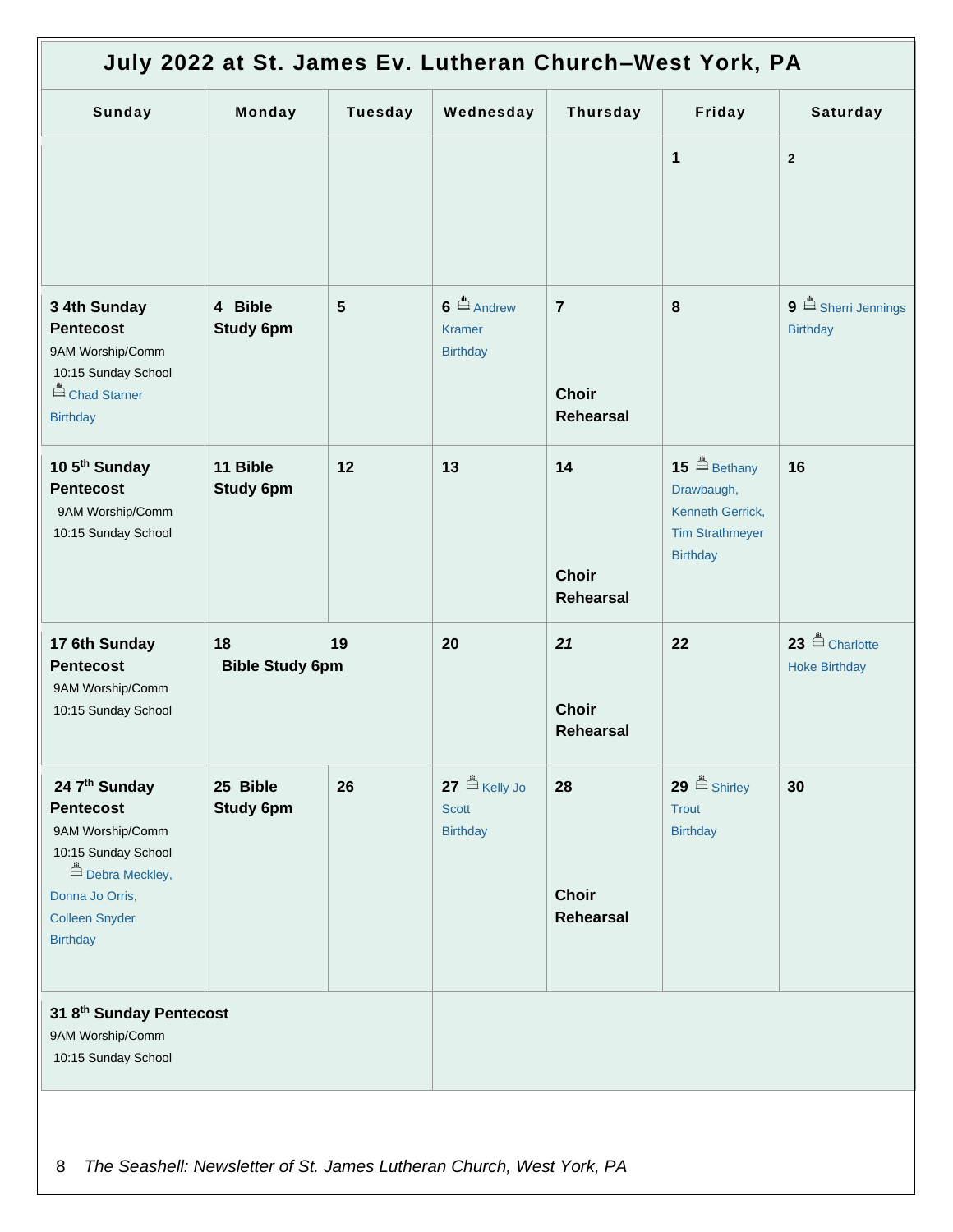| July 2022 at St. James Ev. Lutheran Church-West York, PA                                                                                                      |                                    |                |                                                              |                                                    |                                                                                                       |                                                    |
|---------------------------------------------------------------------------------------------------------------------------------------------------------------|------------------------------------|----------------|--------------------------------------------------------------|----------------------------------------------------|-------------------------------------------------------------------------------------------------------|----------------------------------------------------|
| Sunday                                                                                                                                                        | Monday                             | <b>Tuesday</b> | Wednesday                                                    | <b>Thursday</b>                                    | Friday                                                                                                | Saturday                                           |
|                                                                                                                                                               |                                    |                |                                                              |                                                    | 1                                                                                                     | $\overline{2}$                                     |
| 3 4th Sunday<br><b>Pentecost</b><br>9AM Worship/Comm<br>10:15 Sunday School<br>Chad Starner<br><b>Birthday</b>                                                | 4 Bible<br><b>Study 6pm</b>        | 5              | $6 \triangleq$ Andrew<br><b>Kramer</b><br><b>Birthday</b>    | $\overline{7}$<br><b>Choir</b><br><b>Rehearsal</b> | 8                                                                                                     | $9 \triangleq$ Sherri Jennings<br><b>Birthday</b>  |
| 10 5 <sup>th</sup> Sunday<br><b>Pentecost</b><br>9AM Worship/Comm<br>10:15 Sunday School                                                                      | 11 Bible<br><b>Study 6pm</b>       | 12             | 13                                                           | 14<br><b>Choir</b><br><b>Rehearsal</b>             | 15 $\triangle$ Bethany<br>Drawbaugh,<br>Kenneth Gerrick,<br><b>Tim Strathmeyer</b><br><b>Birthday</b> | 16                                                 |
| 17 6th Sunday<br><b>Pentecost</b><br>9AM Worship/Comm<br>10:15 Sunday School                                                                                  | 18<br>19<br><b>Bible Study 6pm</b> |                | 20                                                           | 21<br><b>Choir</b><br>Rehearsal                    | 22                                                                                                    | 23 <sup>El</sup> Charlotte<br><b>Hoke Birthday</b> |
| 24 7th Sunday<br><b>Pentecost</b><br>9AM Worship/Comm<br>10:15 Sunday School<br>Debra Meckley,<br>Donna Jo Orris,<br><b>Colleen Snyder</b><br><b>Birthday</b> | 25 Bible<br><b>Study 6pm</b>       | 26             | $27 \n\triangle$ Kelly Jo<br><b>Scott</b><br><b>Birthday</b> | 28<br><b>Choir</b><br><b>Rehearsal</b>             | $29$ $\triangleq$ Shirley<br>Trout<br><b>Birthday</b>                                                 | 30                                                 |
| 31 8th Sunday Pentecost<br>9AM Worship/Comm<br>10:15 Sunday School                                                                                            |                                    |                |                                                              |                                                    |                                                                                                       |                                                    |